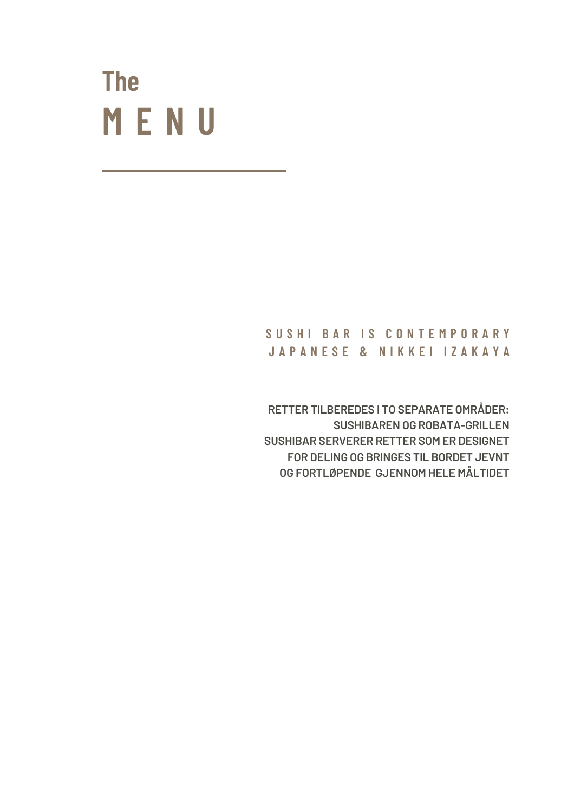# **M E N U The**

#### **S U S H I B A R I S C O N T E M P O R A R Y J A P A N E S E & N I K K E I I Z A K A Y A**

**RETTER TILBEREDES I TO SEPARATE OMRÅDER: SUSHIBAREN OG ROBATA-GRILLEN SUSHIBAR SERVERER RETTER SOM ER DESIGNET FOR DELING OG BRINGES TIL BORDET JEVNT OG FORTLØPENDE GJENNOM HELE MÅLTIDET**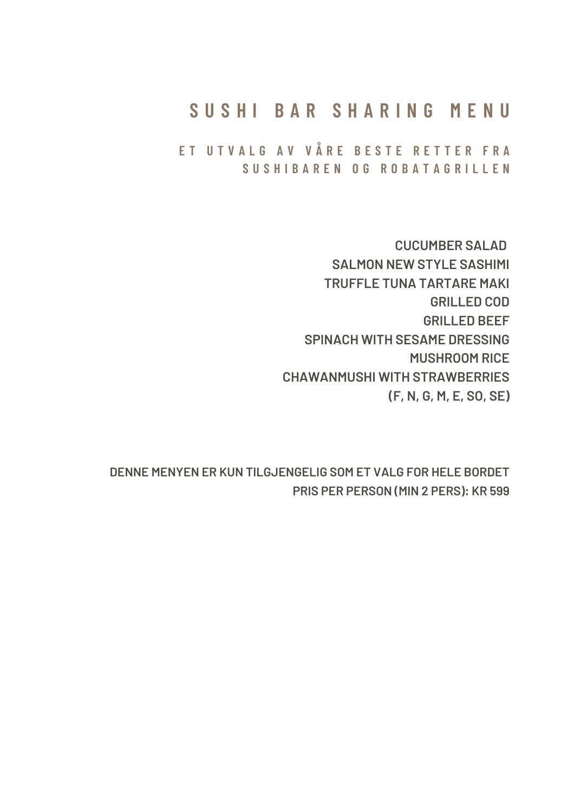#### **S U S H I B A R S H A R I N G M E N U**

ET UTVALG AV VÅRE BESTE RETTER FRA **S U S H I B A R E N O G R O B A T A G R I L L E N**

> **CUCUMBER SALAD SALMON NEW STYLE SASHIMI TRUFFLE TUNA TARTARE MAKI GRILLED COD GRILLED BEEF SPINACH WITH SESAME DRESSING MUSHROOM RICE CHAWANMUSHI WITH STRAWBERRIES (F, N, G, M, E, SO, SE)**

**DENNE MENYEN ER KUN TILGJENGELIG SOM ET VALG FOR HELE BORDET PRIS PER PERSON (MIN 2 PERS): KR 599**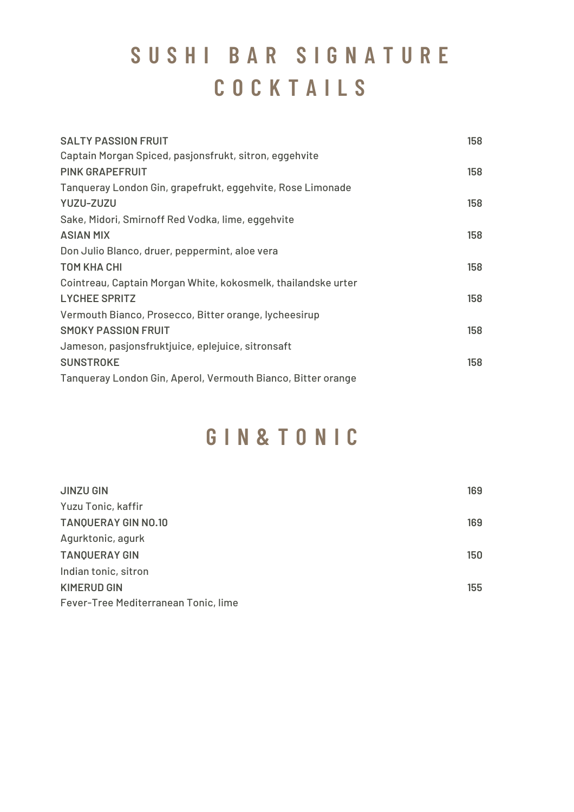## **S U S H I B A R S I G N A T U R E C O C K T A I L S**

| <b>SALTY PASSION FRUIT</b>                                    | 158 |
|---------------------------------------------------------------|-----|
| Captain Morgan Spiced, pasjonsfrukt, sitron, eggehvite        |     |
| <b>PINK GRAPEFRUIT</b>                                        | 158 |
| Tanqueray London Gin, grapefrukt, eggehvite, Rose Limonade    |     |
| YUZU-ZUZU                                                     | 158 |
| Sake, Midori, Smirnoff Red Vodka, lime, eggehvite             |     |
| <b>ASIAN MIX</b>                                              | 158 |
| Don Julio Blanco, druer, peppermint, aloe vera                |     |
| <b>TOM KHA CHI</b>                                            | 158 |
| Cointreau, Captain Morgan White, kokosmelk, thailandske urter |     |
| <b>LYCHEE SPRITZ</b>                                          | 158 |
| Vermouth Bianco, Prosecco, Bitter orange, lycheesirup         |     |
| <b>SMOKY PASSION FRUIT</b>                                    | 158 |
| Jameson, pasjonsfruktjuice, eplejuice, sitronsaft             |     |
| <b>SUNSTROKE</b>                                              | 158 |
| Tanqueray London Gin, Aperol, Vermouth Bianco, Bitter orange  |     |
|                                                               |     |

#### **G I N & T O N I C**

| <b>JINZU GIN</b>                     | 169 |
|--------------------------------------|-----|
| Yuzu Tonic, kaffir                   |     |
| <b>TANQUERAY GIN NO.10</b>           | 169 |
| Agurktonic, agurk                    |     |
| <b>TANQUERAY GIN</b>                 | 150 |
| Indian tonic, sitron                 |     |
| <b>KIMERUD GIN</b>                   | 155 |
| Fever-Tree Mediterranean Tonic, lime |     |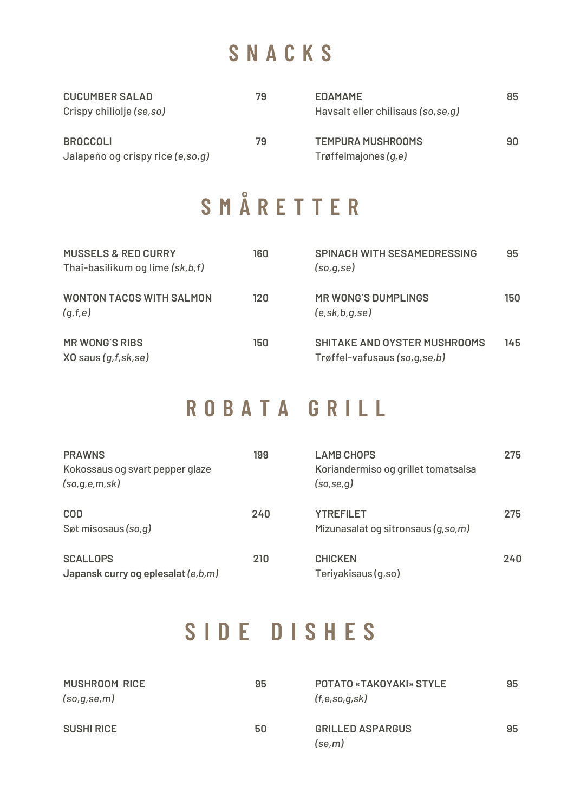## **S N A C K S**

| <b>CUCUMBER SALAD</b><br>Crispy chiliolje (se,so)   | 79 | <b>EDAMAME</b><br>Havsalt eller chilisaus (so, se, q) | 85 |
|-----------------------------------------------------|----|-------------------------------------------------------|----|
| <b>BROCCOLI</b><br>Jalapeño og crispy rice (e,so,g) | 79 | <b>TEMPURA MUSHROOMS</b><br>Trøffelmajones $(q,e)$    | 90 |

# **S M Å R E T T E R**

| <b>MUSSELS &amp; RED CURRY</b><br>Thai-basilikum og lime (sk,b,f) | 160  | <b>SPINACH WITH SESAMEDRESSING</b><br>(so,q,se)                        | 95  |
|-------------------------------------------------------------------|------|------------------------------------------------------------------------|-----|
| <b>WONTON TACOS WITH SALMON</b><br>(q,f,e)                        | 12 O | MR WONG'S DUMPLINGS<br>(e, sk, b, q, se)                               | 150 |
| <b>MR WONG'S RIBS</b><br>$X0$ saus $(g,f,sk,se)$                  | 150  | <b>SHITAKE AND OYSTER MUSHROOMS</b><br>Trøffel-vafusaus (so, q, se, b) | 145 |

## **R O B A T A G R I L L**

| <b>PRAWNS</b><br>Kokossaus og svart pepper glaze<br>(so,q,e,m,sk) | 199 | <b>LAMB CHOPS</b><br>Koriandermiso og grillet tomatsalsa<br>(so, se, q) | 275 |
|-------------------------------------------------------------------|-----|-------------------------------------------------------------------------|-----|
| <b>COD</b><br>Søt misosaus (so, q)                                | 240 | <b>YTREFILET</b><br>Mizunasalat og sitronsaus (g,so,m)                  | 275 |
| <b>SCALLOPS</b><br>Japansk curry og eplesalat (e,b,m)             | 210 | <b>CHICKEN</b><br>Teriyakisaus (g,so)                                   | 240 |

## **S I D E D I S H E S**

| <b>MUSHROOM RICE</b><br>(so,q,se,m) | 95 | POTATO «TAKOYAKI» STYLE<br>(f,e,so,g,sk) | 95 |
|-------------------------------------|----|------------------------------------------|----|
| <b>SUSHI RICE</b>                   | 50 | <b>GRILLED ASPARGUS</b><br>(se,m)        | 95 |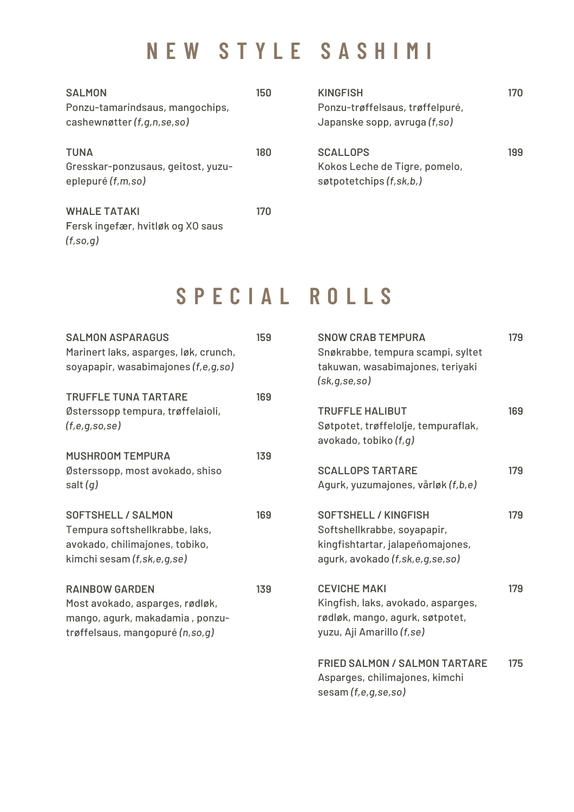### **N E W S T Y L E S A S H I M I**

| <b>SALMON</b><br>Ponzu-tamarindsaus, mangochips,<br>cashewnøtter (f,g,n,se,so) | 150 | <b>KINGFISH</b><br>Ponzu-trøffelsaus, trøffelpuré,<br>Japanske sopp, avruga (f, so) | 170 |
|--------------------------------------------------------------------------------|-----|-------------------------------------------------------------------------------------|-----|
| <b>TUNA</b><br>Gresskar-ponzusaus, geitost, yuzu-<br>eplepuré (f,m,so)         | 180 | <b>SCALLOPS</b><br>Kokos Leche de Tigre, pomelo,<br>søtpotetchips $(f, sk, b)$      | 199 |
| <b>WHALE TATAKI</b><br>Fersk ingefær, hvitløk og XO saus<br>(f, so, q)         | 170 |                                                                                     |     |

## **S P E C I A L R O L L S**

| <b>SALMON ASPARAGUS</b>               | 159 | <b>SNOW CRAB TEMPURA</b>             | 179 |
|---------------------------------------|-----|--------------------------------------|-----|
| Marinert laks, asparges, løk, crunch, |     | Snøkrabbe, tempura scampi, syltet    |     |
| soyapapir, wasabimajones (f,e,g,so)   |     | takuwan, wasabimajones, teriyaki     |     |
|                                       |     | (sk,g,se,so)                         |     |
| <b>TRUFFLE TUNA TARTARE</b>           | 169 |                                      |     |
| Østerssopp tempura, trøffelaioli,     |     | <b>TRUFFLE HALIBUT</b>               | 169 |
| (f,e,g,so,se)                         |     | Søtpotet, trøffelolje, tempuraflak,  |     |
|                                       |     | avokado, tobiko (f,g)                |     |
| <b>MUSHROOM TEMPURA</b>               | 139 |                                      |     |
| Østerssopp, most avokado, shiso       |     | <b>SCALLOPS TARTARE</b>              | 179 |
| salt $(g)$                            |     | Agurk, yuzumajones, vårløk (f,b,e)   |     |
| <b>SOFTSHELL / SALMON</b>             | 169 | <b>SOFTSHELL / KINGFISH</b>          | 179 |
| Tempura softshellkrabbe, laks,        |     | Softshellkrabbe, soyapapir,          |     |
| avokado, chilimajones, tobiko,        |     | kingfishtartar, jalapeñomajones,     |     |
| kimchi sesam (f, sk, e, g, se)        |     | agurk, avokado (f, sk, e, g, se, so) |     |
| <b>RAINBOW GARDEN</b>                 | 139 | <b>CEVICHE MAKI</b>                  | 179 |
| Most avokado, asparges, rødløk,       |     | Kingfish, laks, avokado, asparges,   |     |
| mango, agurk, makadamia, ponzu-       |     | rødløk, mango, agurk, søtpotet,      |     |
| trøffelsaus, mangopuré (n,so,g)       |     | yuzu, Aji Amarillo (f,se)            |     |
|                                       |     |                                      |     |
|                                       |     | <b>FRIED SALMON / SALMON TARTARE</b> | 175 |
|                                       |     | Asparges, chilimajones, kimchi       |     |
|                                       |     | sesam (f,e,g,se,so)                  |     |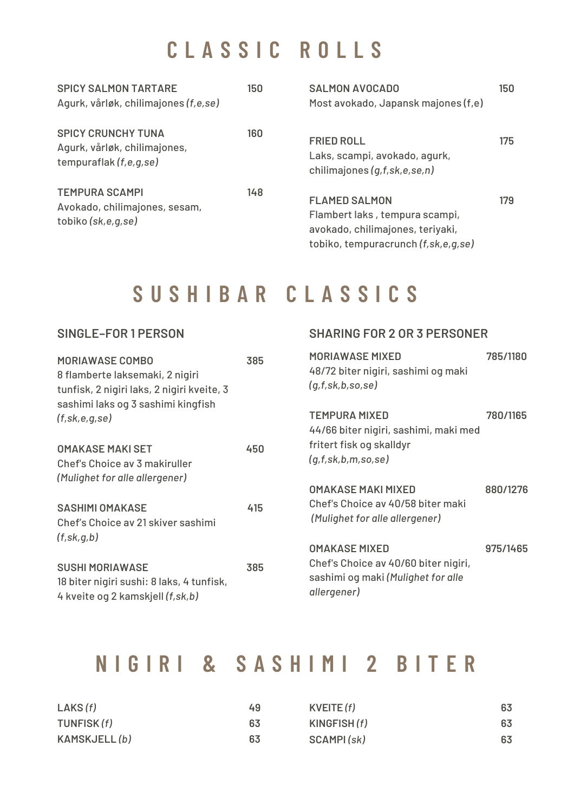## **C L A S S I C R O L L S**

| <b>SPICY SALMON TARTARE</b><br>Agurk, vårløk, chilimajones (f,e,se)                 | 150 | <b>SALMON AVOCADO</b><br>Most avokado, Japansk majones (f,e)                                                                          | 150 |
|-------------------------------------------------------------------------------------|-----|---------------------------------------------------------------------------------------------------------------------------------------|-----|
| <b>SPICY CRUNCHY TUNA</b><br>Agurk, vårløk, chilimajones,<br>tempuraflak (f,e,g,se) | 160 | <b>FRIED ROLL</b><br>Laks, scampi, avokado, agurk,<br>chilimajones (g,f,sk,e,se,n)                                                    | 175 |
| <b>TEMPURA SCAMPI</b><br>Avokado, chilimajones, sesam,<br>tobiko (sk,e,g,se)        | 148 | <b>FLAMED SALMON</b><br>Flambert laks, tempura scampi,<br>avokado, chilimajones, teriyaki,<br>tobiko, tempuracrunch (f, sk, e, g, se) | 179 |

#### **S U S H I B A R C L A S S I C S**

#### **SINGLE–FOR 1 PERSON SHARING FOR 2 OR 3 PERSONER**

| <b>MORIAWASE COMBO</b><br>8 flamberte laksemaki, 2 nigiri<br>tunfisk, 2 nigiri laks, 2 nigiri kveite, 3   | 385 | <b>MORIAWASE MIXED</b><br>48/72 biter nigiri, sashimi og maki<br>(g,f,sk,b,so,se)         | 785/1180 |
|-----------------------------------------------------------------------------------------------------------|-----|-------------------------------------------------------------------------------------------|----------|
| sashimi laks og 3 sashimi kingfish<br>(f, sk, e, q, se)                                                   |     | <b>TEMPURA MIXED</b>                                                                      | 780/1165 |
| <b>OMAKASE MAKI SET</b><br>Chef's Choice av 3 makiruller                                                  | 450 | 44/66 biter nigiri, sashimi, maki med<br>fritert fisk og skalldyr<br>(q,f,sk,b,m,so,se)   |          |
| (Mulighet for alle allergener)                                                                            |     | <b>OMAKASE MAKI MIXED</b>                                                                 | 880/1276 |
| <b>SASHIMI OMAKASE</b><br>Chef's Choice av 21 skiver sashimi<br>(f, sk, q, b)                             | 415 | Chef's Choice av 40/58 biter maki<br>(Mulighet for alle allergener)                       |          |
|                                                                                                           |     | <b>OMAKASE MIXED</b>                                                                      | 975/1465 |
| <b>SUSHI MORIAWASE</b><br>18 biter nigiri sushi: 8 laks, 4 tunfisk,<br>4 kveite og 2 kamskjell (f, sk, b) | 385 | Chef's Choice av 40/60 biter nigiri,<br>sashimi og maki (Mulighet for alle<br>allergener) |          |

#### **N I G I R I & S A S H I M I 2 B I T E R**

| LAKS(f)      | 49 | KVEITE(f)   | 63 |
|--------------|----|-------------|----|
| TUNFISK (f)  | 63 | KINGFISH(f) | 63 |
| KAMSKJELL(b) | 63 | SCAMPI(sk)  | 63 |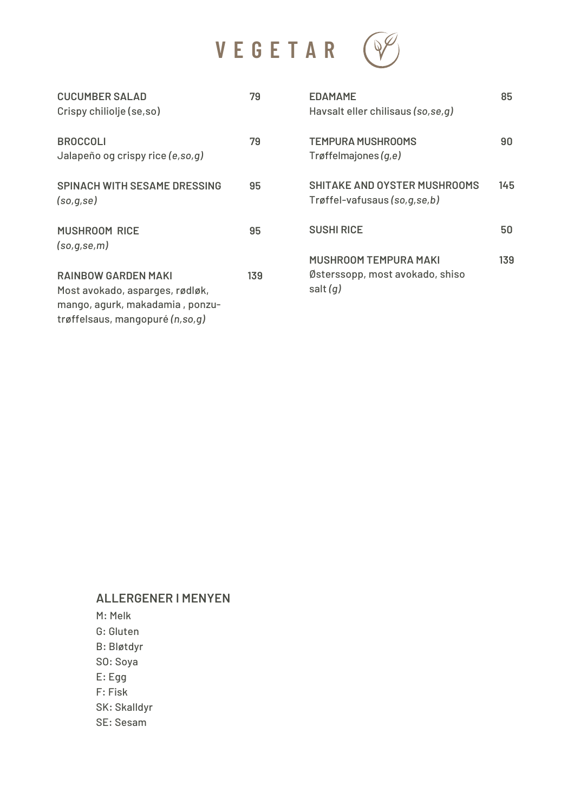

| <b>CUCUMBER SALAD</b><br>Crispy chiliolje (se,so)                                                                                   | 79  | <b>EDAMAME</b><br>Havsalt eller chilisaus (so, se, q)                  | 85  |
|-------------------------------------------------------------------------------------------------------------------------------------|-----|------------------------------------------------------------------------|-----|
| <b>BROCCOLI</b><br>Jalapeño og crispy rice (e, so, q)                                                                               | 79  | <b>TEMPURA MUSHROOMS</b><br>Trøffelmajones $(q,e)$                     | 90  |
| <b>SPINACH WITH SESAME DRESSING</b><br>(so,q,se)                                                                                    | 95  | <b>SHITAKE AND OYSTER MUSHROOMS</b><br>Trøffel-vafusaus (so, g, se, b) | 145 |
| <b>MUSHROOM RICE</b><br>(so,q,se,m)                                                                                                 | 95  | <b>SUSHI RICE</b>                                                      | 50  |
|                                                                                                                                     |     | <b>MUSHROOM TEMPURA MAKI</b>                                           | 139 |
| <b>RAINBOW GARDEN MAKI</b><br>Most avokado, asparges, rødløk,<br>mango, agurk, makadamia, ponzu-<br>trøffelsaus, mangopuré (n,so,g) | 139 | Østerssopp, most avokado, shiso<br>salt $(q)$                          |     |

#### **ALLERGENER I MENYEN**

M: Melk G: Gluten B: Bløtdyr SO: Soya E: Egg F: Fisk SK: Skalldyr SE: Sesam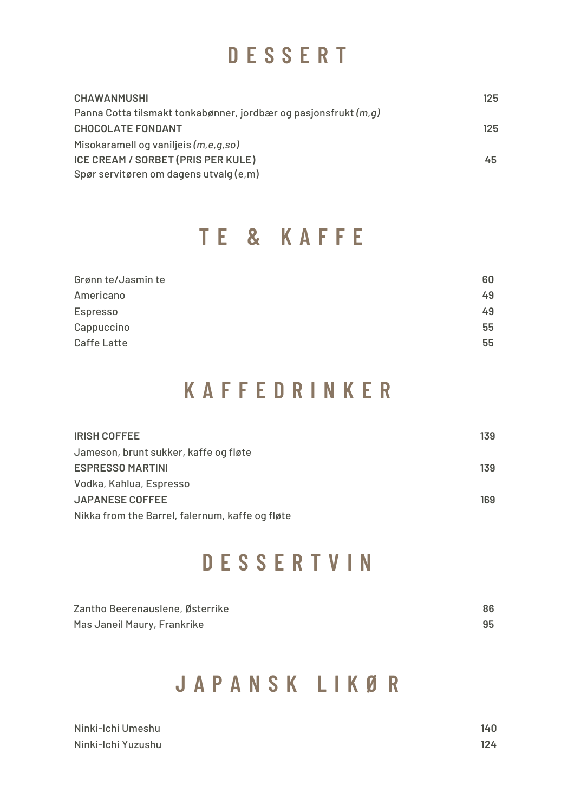#### **D E S S E R T**

| <b>CHAWANMUSHI</b>                                               | 125 |
|------------------------------------------------------------------|-----|
| Panna Cotta tilsmakt tonkabønner, jordbær og pasjonsfrukt (m, g) |     |
| <b>CHOCOLATE FONDANT</b>                                         | 125 |
| Misokaramell og vaniljeis (m,e,g,so)                             |     |
| ICE CREAM / SORBET (PRIS PER KULE)                               | 45  |
| Spør servitøren om dagens utvalg (e,m)                           |     |

#### **T E & K A F F E**

| Grønn te/Jasmin te | 60 |
|--------------------|----|
| Americano          | 49 |
| Espresso           | 49 |
| Cappuccino         | 55 |
| <b>Caffe Latte</b> | 55 |

#### **K A F F E D R I N K E R**

| <b>IRISH COFFEE</b>                             | 139 |
|-------------------------------------------------|-----|
| Jameson, brunt sukker, kaffe og fløte           |     |
| <b>ESPRESSO MARTINI</b>                         | 139 |
| Vodka, Kahlua, Espresso                         |     |
| <b>JAPANESE COFFEE</b>                          | 169 |
| Nikka from the Barrel, falernum, kaffe og fløte |     |

## **D E S S E R T V I N**

| Zantho Beerenauslene, Østerrike | 86 |
|---------------------------------|----|
| Mas Janeil Maury, Frankrike     | 95 |

#### **J A P A N S K L I K Ø R**

| Ninki-Ichi Umeshu  | 140 |
|--------------------|-----|
| Ninki-Ichi Yuzushu | 124 |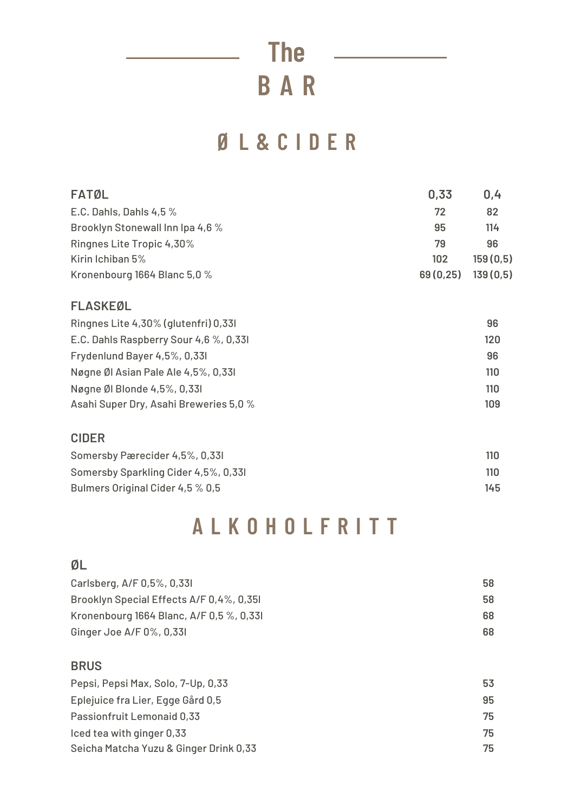**B A R The**

## **Ø L & C I D E R**

| <b>FATØL</b>                           | 0,33      | 0,4      |
|----------------------------------------|-----------|----------|
| E.C. Dahls, Dahls 4,5 %                | 72        | 82       |
| Brooklyn Stonewall Inn Ipa 4,6 %       | 95        | 114      |
| Ringnes Lite Tropic 4,30%              | 79        | 96       |
| Kirin Ichiban 5%                       | 102       | 159(0,5) |
| Kronenbourg 1664 Blanc 5,0 %           | 69 (0,25) | 139(0,5) |
| <b>FLASKEØL</b>                        |           |          |
| Ringnes Lite 4,30% (glutenfri) 0,331   |           | 96       |
| E.C. Dahls Raspberry Sour 4,6 %, 0,331 |           | 120      |
| Frydenlund Bayer 4,5%, 0,33l           |           | 96       |
| Nøgne Øl Asian Pale Ale 4,5%, 0,331    |           | 110      |
| Nøgne Øl Blonde 4,5%, 0,33l            |           | 110      |
| Asahi Super Dry, Asahi Breweries 5,0 % |           | 109      |
| <b>CIDER</b>                           |           |          |
| Somersby Pærecider 4,5%, 0,331         |           | 110      |
| Somersby Sparkling Cider 4,5%, 0,331   |           | 110      |
| Bulmers Original Cider 4,5 % 0,5       |           | 145      |

#### **A L K O H O L F R I T T**

#### **ØL**

| 58 |
|----|
| 58 |
| 68 |
| 68 |
|    |

#### **BRUS**

| Pepsi, Pepsi Max, Solo, 7-Up, 0,33     | 53 |
|----------------------------------------|----|
| Eplejuice fra Lier, Egge Gård 0,5      | 95 |
| Passionfruit Lemonaid 0,33             | 75 |
| Iced tea with ginger 0,33              | 75 |
| Seicha Matcha Yuzu & Ginger Drink 0,33 | 75 |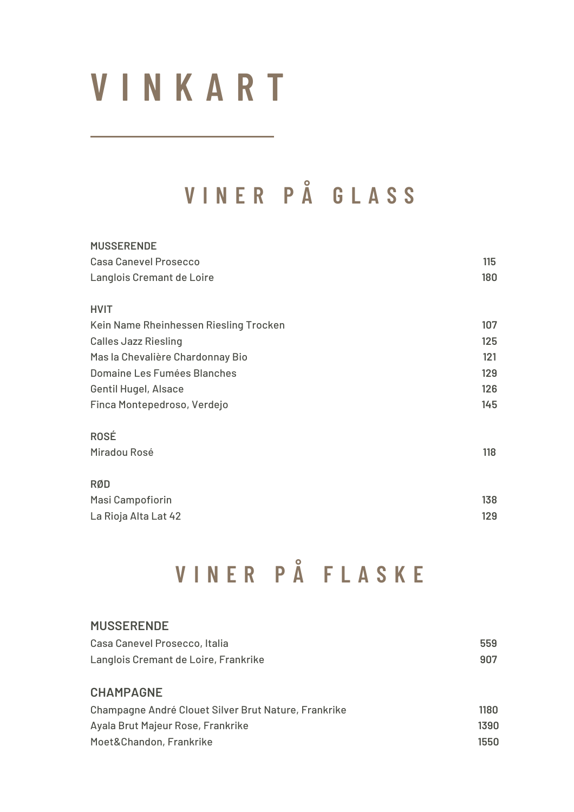# **V I N K A R T**

# **V I N E R P Å G L A S S**

| <b>MUSSERENDE</b>                      |     |
|----------------------------------------|-----|
| <b>Casa Canevel Prosecco</b>           | 115 |
| Langlois Cremant de Loire              | 180 |
| <b>HVIT</b>                            |     |
| Kein Name Rheinhessen Riesling Trocken | 107 |
| <b>Calles Jazz Riesling</b>            | 125 |
| Mas la Chevalière Chardonnay Bio       | 121 |
| Domaine Les Fumées Blanches            | 129 |
| Gentil Hugel, Alsace                   | 126 |
| Finca Montepedroso, Verdejo            | 145 |
| ROSÉ                                   |     |
| Miradou Rosé                           | 118 |
| <b>RØD</b>                             |     |
| Masi Campofiorin                       | 138 |
| La Rioja Alta Lat 42                   | 129 |
|                                        |     |

# **V I N E R P Å F L A S K E**

| <b>MUSSERENDE</b>                                    |      |
|------------------------------------------------------|------|
| Casa Canevel Prosecco, Italia                        | 559  |
| Langlois Cremant de Loire, Frankrike                 | 907  |
|                                                      |      |
| <b>CHAMPAGNE</b>                                     |      |
| Champagne André Clouet Silver Brut Nature, Frankrike | 1180 |
| Ayala Brut Majeur Rose, Frankrike                    | 1390 |
| Moet&Chandon, Frankrike                              | 1550 |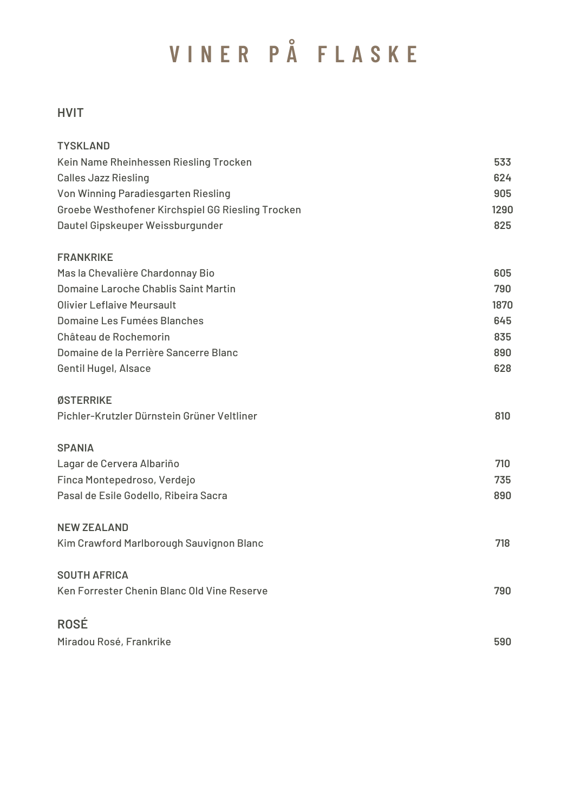# **V I N E R P Å F L A S K E**

#### **HVIT**

| <b>TYSKLAND</b>                                   |      |
|---------------------------------------------------|------|
| Kein Name Rheinhessen Riesling Trocken            | 533  |
| <b>Calles Jazz Riesling</b>                       | 624  |
| Von Winning Paradiesgarten Riesling               | 905  |
| Groebe Westhofener Kirchspiel GG Riesling Trocken | 1290 |
| Dautel Gipskeuper Weissburgunder                  | 825  |
| <b>FRANKRIKE</b>                                  |      |
| Mas la Chevalière Chardonnay Bio                  | 605  |
| Domaine Laroche Chablis Saint Martin              | 790  |
| <b>Olivier Leflaive Meursault</b>                 | 1870 |
| Domaine Les Fumées Blanches                       | 645  |
| Château de Rochemorin                             | 835  |
| Domaine de la Perrière Sancerre Blanc             | 890  |
| Gentil Hugel, Alsace                              | 628  |
| ØSTERRIKE                                         |      |
| Pichler-Krutzler Dürnstein Grüner Veltliner       | 810  |
| <b>SPANIA</b>                                     |      |
| Lagar de Cervera Albariño                         | 710  |
| Finca Montepedroso, Verdejo                       | 735  |
| Pasal de Esile Godello, Ribeira Sacra             | 890  |
| <b>NEW ZEALAND</b>                                |      |
| Kim Crawford Marlborough Sauvignon Blanc          | 718  |
| <b>SOUTH AFRICA</b>                               |      |
| Ken Forrester Chenin Blanc Old Vine Reserve       | 790  |
| <b>ROSÉ</b>                                       |      |
| Miradou Rosé, Frankrike                           | 590  |
|                                                   |      |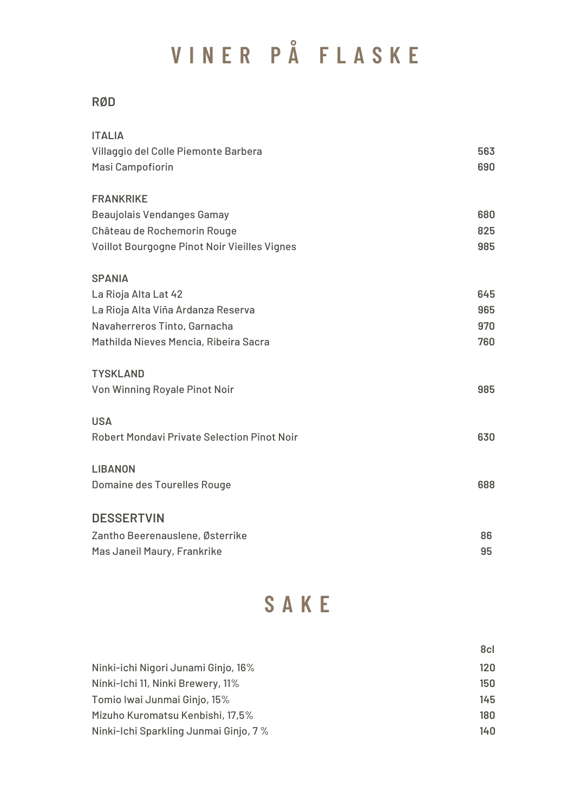# **V I N E R P Å F L A S K E**

#### **RØD**

| <b>ITALIA</b>                                      |     |
|----------------------------------------------------|-----|
| Villaggio del Colle Piemonte Barbera               | 563 |
| Masi Campofiorin                                   | 690 |
| <b>FRANKRIKE</b>                                   |     |
| Beaujolais Vendanges Gamay                         | 680 |
| Château de Rochemorin Rouge                        | 825 |
| Voillot Bourgogne Pinot Noir Vieilles Vignes       | 985 |
| <b>SPANIA</b>                                      |     |
| La Rioja Alta Lat 42                               | 645 |
| La Rioja Alta Viña Ardanza Reserva                 | 965 |
| Navaherreros Tinto, Garnacha                       | 970 |
| Mathilda Nieves Mencia, Ribeira Sacra              | 760 |
| <b>TYSKLAND</b>                                    |     |
| Von Winning Royale Pinot Noir                      | 985 |
| <b>USA</b>                                         |     |
| <b>Robert Mondavi Private Selection Pinot Noir</b> | 630 |
| <b>LIBANON</b>                                     |     |
| Domaine des Tourelles Rouge                        | 688 |
| <b>DESSERTVIN</b>                                  |     |
| Zantho Beerenauslene, Østerrike                    | 86  |
| Mas Janeil Maury, Frankrike                        | 95  |
|                                                    |     |

## **S A K E**

|                                       | 8cl |
|---------------------------------------|-----|
| Ninki-ichi Nigori Junami Ginjo, 16%   | 120 |
| Ninki-Ichi 11, Ninki Brewery, 11%     | 150 |
| Tomio Iwai Junmai Ginjo, 15%          | 145 |
| Mizuho Kuromatsu Kenbishi, 17,5%      | 180 |
| Ninki-Ichi Sparkling Junmai Ginjo, 7% | 140 |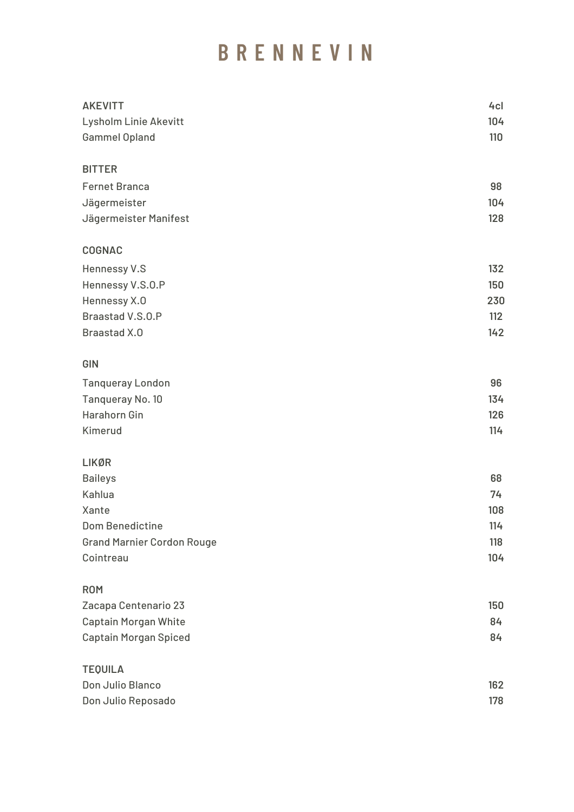#### **B R E N N E V I N**

| <b>AKEVITT</b>                    | 4 <sub>cl</sub> |
|-----------------------------------|-----------------|
| <b>Lysholm Linie Akevitt</b>      | 104             |
| <b>Gammel Opland</b>              | 110             |
| <b>BITTER</b>                     |                 |
| <b>Fernet Branca</b>              | 98              |
| Jägermeister                      | 104             |
| Jägermeister Manifest             | 128             |
| <b>COGNAC</b>                     |                 |
| Hennessy V.S                      | 132             |
| Hennessy V.S.O.P                  | 150             |
| Hennessy X.O                      | 230             |
| Braastad V.S.O.P                  | 112             |
| <b>Braastad X.O</b>               | 142             |
| GIN                               |                 |
| <b>Tanqueray London</b>           | 96              |
| Tanqueray No. 10                  | 134             |
| <b>Harahorn Gin</b>               | 126             |
| Kimerud                           | 114             |
| <b>LIKØR</b>                      |                 |
| <b>Baileys</b>                    | 68              |
| Kahlua                            | 74              |
| Xante                             | 108             |
| <b>Dom Benedictine</b>            | 114             |
| <b>Grand Marnier Cordon Rouge</b> | 118             |
| Cointreau                         | 104             |
| <b>ROM</b>                        |                 |
| Zacapa Centenario 23              | 150             |
| <b>Captain Morgan White</b>       | 84              |
| <b>Captain Morgan Spiced</b>      | 84              |
| <b>TEQUILA</b>                    |                 |
| Don Julio Blanco                  | 162             |
| Don Julio Reposado                | 178             |